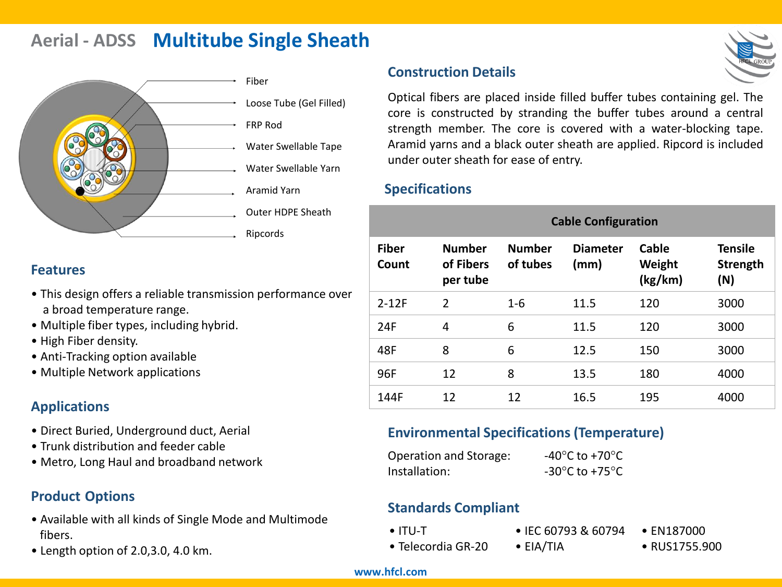# **Aerial - ADSS Multitube Single Sheath**



Loose Tube (Gel Filled)

- Water Swellable Tape
- Water Swellable Yarn
- Aramid Yarn
- Outer HDPE Sheath

#### **Features**

- This design offers a reliable transmission performance over a broad temperature range.
- Multiple fiber types, including hybrid.
- High Fiber density.
- Anti-Tracking option available
- Multiple Network applications

#### **Applications**

- Direct Buried, Underground duct, Aerial
- Trunk distribution and feeder cable
- Metro, Long Haul and broadband network

#### **Product Options**

- Available with all kinds of Single Mode and Multimode fibers.
- Length option of 2.0,3.0, 4.0 km.

#### **Construction Details**

Optical fibers are placed inside filled buffer tubes containing gel. The core is constructed by stranding the buffer tubes around a central strength member. The core is covered with a water-blocking tape. Aramid yarns and a black outer sheath are applied. Ripcord is included under outer sheath for ease of entry.

#### **Specifications**

|                       | <b>Cable Configuration</b>             |                           |                         |                            |                                   |
|-----------------------|----------------------------------------|---------------------------|-------------------------|----------------------------|-----------------------------------|
| <b>Fiber</b><br>Count | <b>Number</b><br>of Fibers<br>per tube | <b>Number</b><br>of tubes | <b>Diameter</b><br>(mm) | Cable<br>Weight<br>(kg/km) | <b>Tensile</b><br>Strength<br>(N) |
| $2-12F$               | $\overline{2}$                         | $1 - 6$                   | 11.5                    | 120                        | 3000                              |
| 24F                   | 4                                      | 6                         | 11.5                    | 120                        | 3000                              |
| 48F                   | 8                                      | 6                         | 12.5                    | 150                        | 3000                              |
| 96F                   | 12                                     | 8                         | 13.5                    | 180                        | 4000                              |
| 144F                  | 12                                     | 12                        | 16.5                    | 195                        | 4000                              |

#### **Environmental Specifications (Temperature)**

| Operation and Storage: | -40 $^{\circ}$ C to +70 $^{\circ}$ C                 |
|------------------------|------------------------------------------------------|
| Installation:          | -30 $\mathrm{^{\circ}C}$ to +75 $\mathrm{^{\circ}C}$ |

#### **Standards Compliant**

• ITU-T

- IEC 60793 & 60794
- Telecordia GR-20
- EIA/TIA
- RUS1755.900

• EN187000

#### **www.hfcl.com**

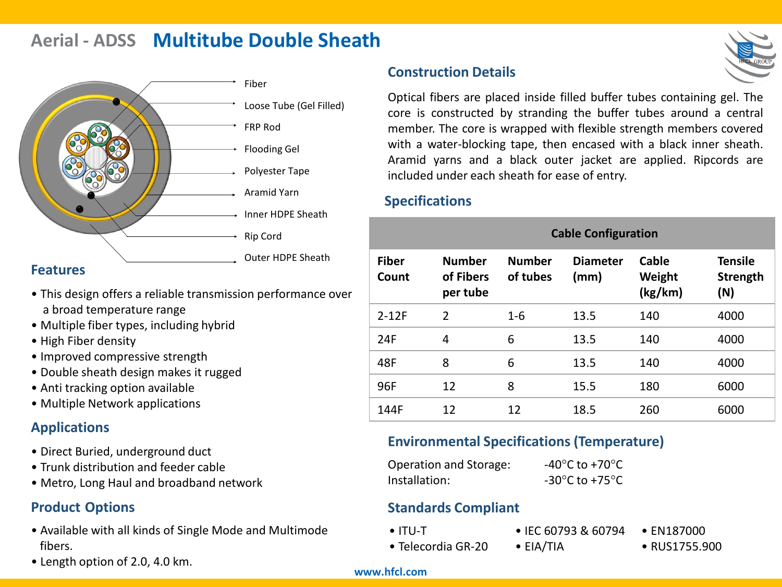# **Aerial - ADSS Multitube Double Sheath**



#### **Features**

- This design offers a reliable transmission performance over a broad temperature range
- Multiple fiber types, including hybrid
- High Fiber density
- Improved compressive strength
- Double sheath design makes it rugged
- Anti tracking option available
- Multiple Network applications

#### **Applications**

- Direct Buried, underground duct
- Trunk distribution and feeder cable
- Metro, Long Haul and broadband network

#### **Product Options**

- Available with all kinds of Single Mode and Multimode fibers.
- Length option of 2.0, 4.0 km.

### **Construction Details**

Optical fibers are placed inside filled buffer tubes containing gel. The core is constructed by stranding the buffer tubes around a central member. The core is wrapped with flexible strength members covered with a water-blocking tape, then encased with a black inner sheath. Aramid yarns and a black outer jacket are applied. Ripcords are included under each sheath for ease of entry.

#### **Specifications**

|                       | <b>Cable Configuration</b>             |                           |                         |                            |                                   |
|-----------------------|----------------------------------------|---------------------------|-------------------------|----------------------------|-----------------------------------|
| <b>Fiber</b><br>Count | <b>Number</b><br>of Fibers<br>per tube | <b>Number</b><br>of tubes | <b>Diameter</b><br>(mm) | Cable<br>Weight<br>(kg/km) | <b>Tensile</b><br>Strength<br>(N) |
| $2-12F$               | $\mathfrak{D}$                         | $1 - 6$                   | 13.5                    | 140                        | 4000                              |
| 24F                   | 4                                      | 6                         | 13.5                    | 140                        | 4000                              |
| 48F                   | 8                                      | 6                         | 13.5                    | 140                        | 4000                              |
| 96F                   | 12                                     | 8                         | 15.5                    | 180                        | 6000                              |
| 144F                  | 12                                     | 12                        | 18.5                    | 260                        | 6000                              |

#### **Environmental Specifications (Temperature)**

| Operation and Storage: | -40 $^{\circ}$ C to +70 $^{\circ}$ C                 |
|------------------------|------------------------------------------------------|
| Installation:          | -30 $\mathrm{^{\circ}C}$ to +75 $\mathrm{^{\circ}C}$ |

#### **Standards Compliant**

• ITU-T

- IEC 60793 & 60794 • EN187000
- Telecordia GR-20
- EIA/TIA
- RUS1755.900

#### **www.hfcl.com**